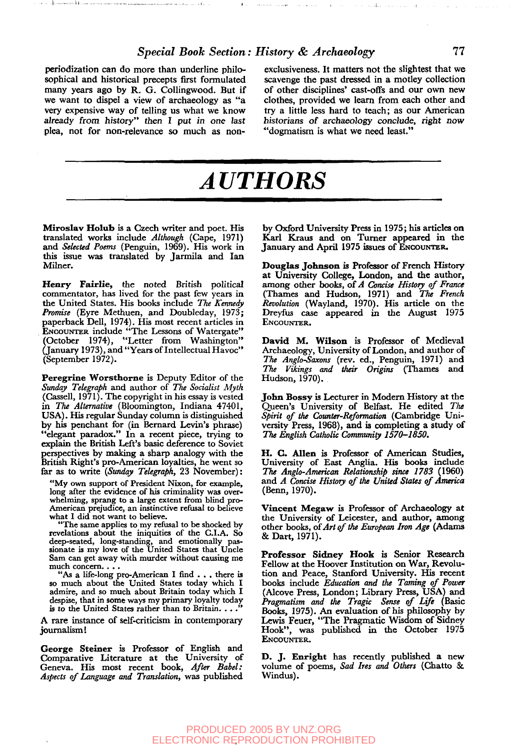### *Special Book Section: History & Archaeology* **77**

periodization can do more than underline philosophical and historical precepts first formulated many years ago by R. G. Collingwood. But if we want to dispel a view of archaeology as "a very expensive way of telling us what we know already from history" then I put in one last plea, not for non-relevance so much as non-

exclusiveness. It matters not the slightest that we scavenge the past dressed in **a** motley collection of other disciplines' cast-offs and our own new clothes, provided we learn from each other and try a little less hard to teach; as our American historians of archaeology conclude, right now "dogmatism is what we need least."

# *AUTHORS*

**Miroslav Holub** is a Czech writer and poet. His translated works include *Although* (Cape, 1971) and *Selected Poems* (Penguin, 1969). His work in this issue was translated by Jarmila and Ian Milner.

**Henry Fairlie,** the noted British political commentator, has lived for the past few years in the United States. His books include *The Kennedy Promise* (Eyre Methuen, and Doubleday, 1973; paperback Dell, 1974). His most recent articles in ENCOUNTER include "The Lessons of Watergate" (October 1974), "Letter from Washington" (January 1973), and "Years of Intellectual Havoc" (September 1972).

**Peregrine Worsthorne** is Deputy Editor of the *Sunday Telegraph* and author of *The Socialist Myth* (Cassell, 1971). The copyright in his essay is vested in *The Alternative* (Bloomington, Indiana 47401, USA). His regular Sunday column is distinguished by his penchant for (in Bernard Levin's phrase) "elegant paradox." In a recent piece, trying to explain the British Left's basic deference to Soviet perspectives by making a sharp analogy with the British Right's pro-American loyalties, he went so far as to write *(Sunday Telegraph,* 23 November):

"My own support of President Nixon, for example, long after the evidence of his criminality was overwhelming, sprang to a large extent from blind pro-American prejudice, an instinctive refusal to believe what I did not want to believe.

"The same applies to my refusal to be shocked by revelations about the iniquities of the C.I.A. So deep-seated, long-standing, and emotionally pas-sionate is my love of the United States that Uncle Sam can get away with murder without causing me much concern. . . .

"As a life-long pro-American I find . . . there is so much about the United States today which I admire, and so much about Britain today which I despise, that in some ways my primary loyalty today is to the United States rather than to Britain. . .

A rare instance of self-criticism in contemporary journalism!

**George Steiner** is Professor of English and Comparative Literature at the University of Geneva. His most recent book, *After Babel: Aspects of Language and Translation,* was published

by Oxford University Press in 1975; his articles on Karl Kraus and on Turner appeared in the January and April 1975 issues of ENCOUNTER.

**Douglas Johnson** is Professor of French History at University College, London, and the author, among other books, of *A Concise History of France* (Thames and Hudson, 1971) and *The French Revolution* (Wayland, 1970). His article on the Dreyfus case appeared in the August 1975 ENCOUNTER.

**David M. Wilson** is Professor of Medieval Archaeology, University of London, and author of *The Anglo-Saxons* (rev. ed., Penguin, 1971) and *The Vikings and their Origins* (Thames and Hudson, 1970).

**John Bossy** is Lecturer in Modern History at the Queen's University of Belfast. He edited *The Spirit of the Counter-Reformation* (Cambridge University Press, 1968), and is completing a study of *The English Catholic Community 1570-1850.*

**H. C. Allen** is Professor of American Studies, University of East Anglia. His books include *The Anglo-American Relationship since 1783* (1960) and *A Concise History of the United States of America* (Benn, 1970).

**Vincent Megaw** is Professor of Archaeology at the University of Leicester, and author, among other books, of *Art of the European Iron Age* (Adams & Dart, 1971).

**Professor Sidney Hook** is Senior Research Fellow at the Hoover Institution on War, Revolution and Peace, Stanford University. His recent books include *Education and the Taming of Power* (Alcove Press, London; Library Press, USA) and *Pragmatism and the Tragic Sense of Life* (Basic Books, 1975). An evaluation of his philosophy by Lewis Feuer, "The Pragmatic Wisdom of Sidney Hook", was published in the October 1975 ENCOUNTER.

D. J. **Enright** has recently published a new volume of poems, *Sad Ires and Others* (Chatto & Windus).

#### PRODUCED 2005 BY UNZ.ORG ELECTRONIC REPRODUCTION PROHIBITED